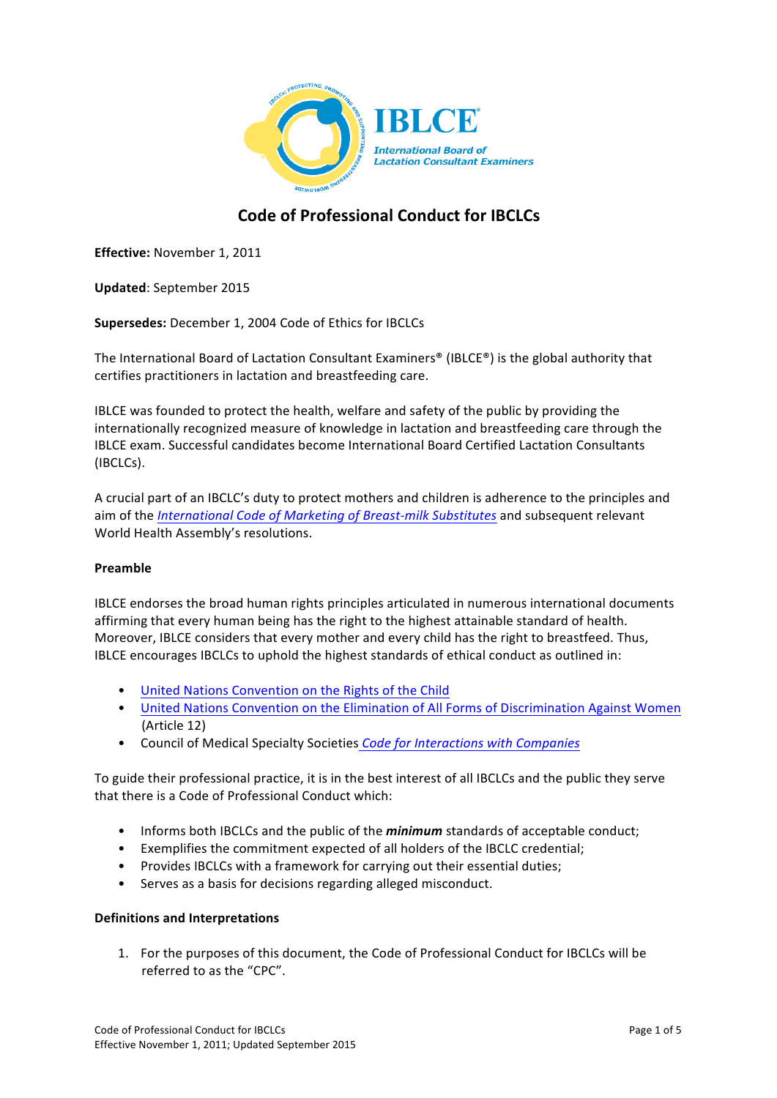

# **Code of Professional Conduct for IBCLCs**

**Effective:** November 1, 2011

**Updated**: September 2015

**Supersedes:** December 1, 2004 Code of Ethics for IBCLCs

The International Board of Lactation Consultant Examiners<sup>®</sup> (IBLCE<sup>®</sup>) is the global authority that certifies practitioners in lactation and breastfeeding care.

IBLCE was founded to protect the health, welfare and safety of the public by providing the internationally recognized measure of knowledge in lactation and breastfeeding care through the IBLCE exam. Successful candidates become International Board Certified Lactation Consultants (IBCLCs).

A crucial part of an IBCLC's duty to protect mothers and children is adherence to the principles and aim of the *International Code of Marketing of Breast-milk Substitutes* and subsequent relevant World Health Assembly's resolutions.

## **Preamble**

IBLCE endorses the broad human rights principles articulated in numerous international documents affirming that every human being has the right to the highest attainable standard of health. Moreover, IBLCE considers that every mother and every child has the right to breastfeed. Thus, IBLCE encourages IBCLCs to uphold the highest standards of ethical conduct as outlined in:

- United Nations Convention on the Rights of the Child
- United Nations Convention on the Elimination of All Forms of Discrimination Against Women (Article 12)
- Council of Medical Specialty Societies *Code for Interactions with Companies*

To guide their professional practice, it is in the best interest of all IBCLCs and the public they serve that there is a Code of Professional Conduct which:

- Informs both IBCLCs and the public of the *minimum* standards of acceptable conduct;
- Exemplifies the commitment expected of all holders of the IBCLC credential;
- Provides IBCLCs with a framework for carrying out their essential duties;
- Serves as a basis for decisions regarding alleged misconduct.

## **Definitions and Interpretations**

1. For the purposes of this document, the Code of Professional Conduct for IBCLCs will be referred to as the "CPC".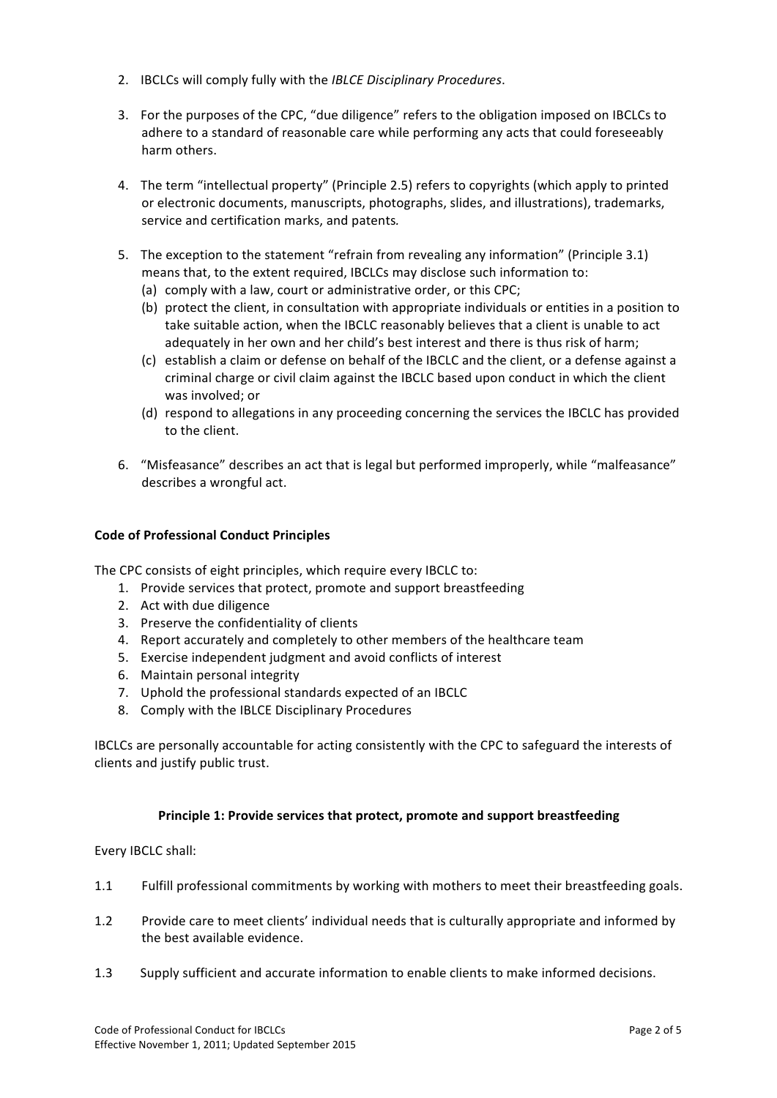- 2. **IBCLCs will comply fully with the** *IBLCE Disciplinary Procedures***.**
- 3. For the purposes of the CPC, "due diligence" refers to the obligation imposed on IBCLCs to adhere to a standard of reasonable care while performing any acts that could foreseeably harm others.
- 4. The term "intellectual property" (Principle 2.5) refers to copyrights (which apply to printed or electronic documents, manuscripts, photographs, slides, and illustrations), trademarks, service and certification marks, and patents.
- 5. The exception to the statement "refrain from revealing any information" (Principle 3.1)
	- means that, to the extent required, IBCLCs may disclose such information to:
	- (a) comply with a law, court or administrative order, or this CPC;
	- (b) protect the client, in consultation with appropriate individuals or entities in a position to take suitable action, when the IBCLC reasonably believes that a client is unable to act adequately in her own and her child's best interest and there is thus risk of harm;
	- (c) establish a claim or defense on behalf of the IBCLC and the client, or a defense against a criminal charge or civil claim against the IBCLC based upon conduct in which the client was involved: or
	- (d) respond to allegations in any proceeding concerning the services the IBCLC has provided to the client.
- 6. "Misfeasance" describes an act that is legal but performed improperly, while "malfeasance" describes a wrongful act.

## **Code of Professional Conduct Principles**

The CPC consists of eight principles, which require every IBCLC to:

- 1. Provide services that protect, promote and support breastfeeding
- 2. Act with due diligence
- 3. Preserve the confidentiality of clients
- 4. Report accurately and completely to other members of the healthcare team
- 5. Exercise independent judgment and avoid conflicts of interest
- 6. Maintain personal integrity
- 7. Uphold the professional standards expected of an IBCLC
- 8. Comply with the IBLCE Disciplinary Procedures

IBCLCs are personally accountable for acting consistently with the CPC to safeguard the interests of clients and justify public trust.

## **Principle 1: Provide services that protect, promote and support breastfeeding**

Every IBCLC shall:

- 1.1 Fulfill professional commitments by working with mothers to meet their breastfeeding goals.
- 1.2 Provide care to meet clients' individual needs that is culturally appropriate and informed by the best available evidence.
- 1.3 Supply sufficient and accurate information to enable clients to make informed decisions.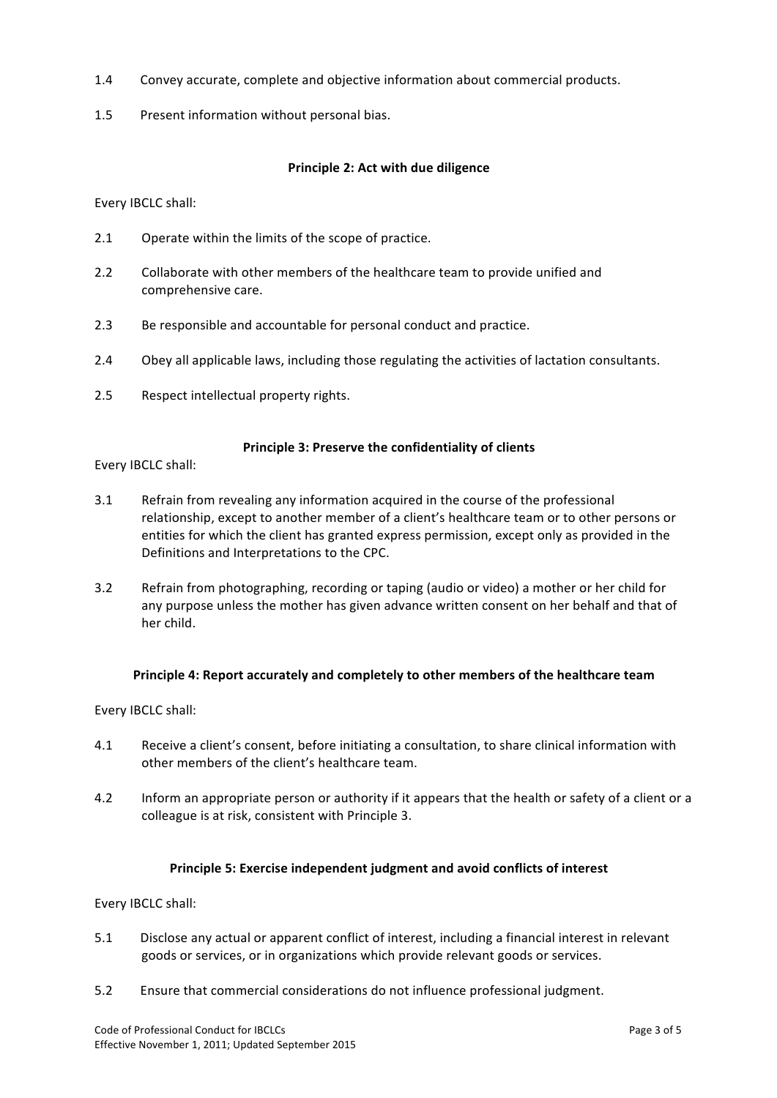- 1.4 Convey accurate, complete and objective information about commercial products.
- 1.5 Present information without personal bias.

## **Principle 2: Act with due diligence**

Every IBCLC shall:

- 2.1 Operate within the limits of the scope of practice.
- 2.2 Collaborate with other members of the healthcare team to provide unified and comprehensive care.
- 2.3 Be responsible and accountable for personal conduct and practice.
- 2.4 Obey all applicable laws, including those regulating the activities of lactation consultants.
- 2.5 Respect intellectual property rights.

## Principle 3: Preserve the confidentiality of clients

Every IBCLC shall:

- 3.1 Refrain from revealing any information acquired in the course of the professional relationship, except to another member of a client's healthcare team or to other persons or entities for which the client has granted express permission, except only as provided in the Definitions and Interpretations to the CPC.
- 3.2 Refrain from photographing, recording or taping (audio or video) a mother or her child for any purpose unless the mother has given advance written consent on her behalf and that of her child.

## **Principle 4: Report accurately and completely to other members of the healthcare team**

Every IBCLC shall:

- 4.1 Receive a client's consent, before initiating a consultation, to share clinical information with other members of the client's healthcare team.
- 4.2 Inform an appropriate person or authority if it appears that the health or safety of a client or a colleague is at risk, consistent with Principle 3.

## Principle 5: Exercise independent judgment and avoid conflicts of interest

#### Every IBCLC shall:

- 5.1 Disclose any actual or apparent conflict of interest, including a financial interest in relevant goods or services, or in organizations which provide relevant goods or services.
- 5.2 Ensure that commercial considerations do not influence professional judgment.